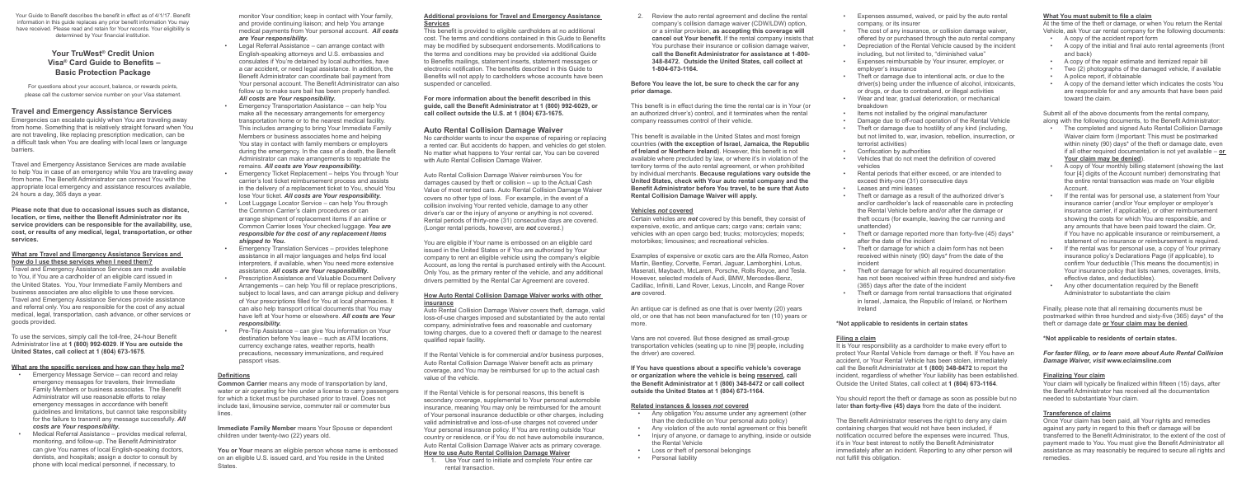Your Guide to Benefit describes the benefit in effect as of 4/1/17. Benefit information in this guide replaces any prior benefit information You may have received. Please read and retain for Your records. Your eligibility is determined by Your financial institution.

# **Your TruWest® Credit Union Visa® Card Guide to Benefits – Basic Protection Package**

For questions about your account, balance, or rewards points, please call the customer service number on your Visa statement.

# **Travel and Emergency Assistance Services**

Emergencies can escalate quickly when You are traveling away from home. Something that is relatively straight forward when You are not traveling, like replacing prescription medication, can be a difficult task when You are dealing with local laws or language barriers.

Travel and Emergency Assistance Services are made available to help You in case of an emergency while You are traveling away from home. The Benefit Administrator can connect You with the appropriate local emergency and assistance resources available, 24 hours a day, 365 days a year.

**Please note that due to occasional issues such as distance, location, or time, neither the Benefit Administrator nor its service providers can be responsible for the availability, use, cost, or results of any medical, legal, transportation, or other services.**

#### **What are Travel and Emergency Assistance Services and how do I use these services when I need them?**

Travel and Emergency Assistance Services are made available to You, if You are a cardholder of an eligible card issued in the United States. You, Your Immediate Family Members and business associates are also eligible to use these services. Travel and Emergency Assistance Services provide assistance and referral only. You are responsible for the cost of any actual medical, legal, transportation, cash advance, or other services or goods provided.

To use the services, simply call the toll-free, 24-hour Benefit Administrator line at **1 (800) 992-6029**. **If You are outside the United States, call collect at 1 (804) 673-1675**.

#### **What are the specific services and how can they help me?**

- Emergency Message Service can record and relay emergency messages for travelers, their Immediate Family Members or business associates. The Benefit Administrator will use reasonable efforts to relay emergency messages in accordance with benefit guidelines and limitations, but cannot take responsibility for the failure to transmit any message successfully. *All costs are Your responsibility.*
- Medical Referral Assistance provides medical referral, monitoring, and follow-up. The Benefit Administrator can give You names of local English-speaking doctors, dentists, and hospitals; assign a doctor to consult by phone with local medical personnel, if necessary, to

monitor Your condition; keep in contact with Your family, and provide continuing liaison; and help You arrange medical payments from Your personal account. *All costs are Your responsibility.* 

> If the Rental Vehicle is for commercial and/or business purposes, Auto Rental Collision Damage Waiver benefit acts as primary coverage, and You may be reimbursed for up to the actual cash value of the vehicle.

- Legal Referral Assistance can arrange contact with English-speaking attorneys and U.S. embassies and consulates if You're detained by local authorities, have a car accident, or need legal assistance. In addition, the Benefit Administrator can coordinate bail payment from Your personal account. The Benefit Administrator can also follow up to make sure bail has been properly handled. *All costs are Your responsibility.*
- Emergency Transportation Assistance can help You make all the necessary arrangements for emergency transportation home or to the nearest medical facility. This includes arranging to bring Your Immediate Family Members or business associates home and helping You stay in contact with family members or employers during the emergency. In the case of a death, the Benefit Administrator can make arrangements to repatriate the remains. *All costs are Your responsibility.*
- Emergency Ticket Replacement helps You through Your carrier's lost ticket reimbursement process and assists in the delivery of a replacement ticket to You, should You lose Your ticket. *All costs are Your responsibility.*
- Lost Luggage Locator Service can help You through the Common Carrier's claim procedures or can arrange shipment of replacement items if an airline or Common Carrier loses Your checked luggage. *You are responsible for the cost of any replacement items shipped to You.*
- Emergency Translation Services provides telephone assistance in all major languages and helps find local interpreters, if available, when You need more extensive assistance. *All costs are Your responsibility.*
- Prescription Assistance and Valuable Document Delivery Arrangements – can help You fill or replace prescriptions, subject to local laws, and can arrange pickup and delivery of Your prescriptions filled for You at local pharmacies. It can also help transport critical documents that You may have left at Your home or elsewhere. *All costs are Your responsibility.*
- Pre-Trip Assistance can give You information on Your destination before You leave – such as ATM locations, currency exchange rates, weather reports, health precautions, necessary immunizations, and required passport visas.

# **Definitions**

**Common Carrier** means any mode of transportation by land, water or air operating for hire under a license to carry passengers for which a ticket must be purchased prior to travel. Does not include taxi, limousine service, commuter rail or commuter bus lines.

**Immediate Family Member** means Your Spouse or dependent children under twenty-two (22) years old.

You or Your means an eligible person whose name is embossed on an eligible U.S. issued card, and You reside in the United **States** 

#### **Additional provisions for Travel and Emergency Assistance Services**

This benefit is provided to eligible cardholders at no additional cost. The terms and conditions contained in this Guide to Benefits may be modified by subsequent endorsements. Modifications to the terms and conditions may be provided via additional Guide to Benefits mailings, statement inserts, statement messages or electronic notification. The benefits described in this Guide to Benefits will not apply to cardholders whose accounts have been suspended or cancelled.

**For more information about the benefit described in this guide, call the Benefit Administrator at 1 (800) 992-6029, or call collect outside the U.S. at 1 (804) 673-1675.** 

# **Auto Rental Collision Damage Waiver**

No cardholder wants to incur the expense of repairing or replacing a rented car. But accidents do happen, and vehicles do get stolen. No matter what happens to Your rental car, You can be covered with Auto Rental Collision Damage Waiver.

Auto Rental Collision Damage Waiver reimburses You for damages caused by theft or collision -- up to the Actual Cash Value of most rented cars. Auto Rental Collision Damage Waiver covers no other type of loss. For example, in the event of a collision involving Your rented vehicle, damage to any other driver's car or the injury of anyone or anything is not covered. Rental periods of thirty-one (31) consecutive days are covered. (Longer rental periods, however, are *not* covered.)

You are eligible if Your name is embossed on an eligible card issued in the United States or if You are authorized by Your company to rent an eligible vehicle using the company's eligible Account, as long the rental is purchased entirely with the Account. Only You, as the primary renter of the vehicle, and any additional drivers permitted by the Rental Car Agreement are covered.

#### **How Auto Rental Collision Damage Waiver works with other insurance**

Auto Rental Collision Damage Waiver covers theft, damage, valid loss-of-use charges imposed and substantiated by the auto rental company, administrative fees and reasonable and customary towing charges, due to a covered theft or damage to the nearest qualified repair facility.

If the Rental Vehicle is for personal reasons, this benefit is secondary coverage, supplemental to Your personal automobile insurance, meaning You may only be reimbursed for the amount of Your personal insurance deductible or other charges, including valid administrative and loss-of-use charges not covered under Your personal insurance policy. If You are renting outside Your country or residence, or if You do not have automobile insurance, Auto Rental Collision Damage Waiver acts as primary coverage. **How to use Auto Rental Collision Damage Waiver**

1. Use Your card to initiate and complete Your entire car rental transaction.

2. Review the auto rental agreement and decline the rental company's collision damage waiver (CDW/LDW) option, or a similar provision, **as accepting this coverage will cancel out Your benefit.** If the rental company insists that You purchase their insurance or collision damage waiver, **call the Benefit Administrator for assistance at 1-800- 348-8472. Outside the United States, call collect at** 

**1-804-673-1164.**

#### **Before You leave the lot, be sure to check the car for any**

**prior damage.**

This benefit is in effect during the time the rental car is in Your (or an authorized driver's) control, and it terminates when the rental company reassumes control of their vehicle.

This benefit is available in the United States and most foreign countries (**with the exception of Israel, Jamaica, the Republic of Ireland or Northern Ireland**). However, this benefit is not available where precluded by law, or where it's in violation of the territory terms of the auto rental agreement, or when prohibited by individual merchants. **Because regulations vary outside the United States, check with Your auto rental company and the Benefit Administrator before You travel, to be sure that Auto Rental Collision Damage Waiver will apply.**

#### **Vehicles** *not* **covered**

Certain vehicles are *not* covered by this benefit, they consist of expensive, exotic, and antique cars; cargo vans; certain vans; vehicles with an open cargo bed; trucks; motorcycles; mopeds; motorbikes; limousines; and recreational vehicles.

Examples of expensive or exotic cars are the Alfa Romeo, Aston Martin, Bentley, Corvette, Ferrari, Jaguar, Lamborghini, Lotus, Maserati, Maybach, McLaren, Porsche, Rolls Royce, and Tesla. However, selected models of Audi, BMW, Mercedes-Benz, Cadillac, Infiniti, Land Rover, Lexus, Lincoln, and Range Rover *are* covered.

An antique car is defined as one that is over twenty (20) years old, or one that has not been manufactured for ten (10) years or more.

Vans are not covered. But those designed as small-group transportation vehicles (seating up to nine [9] people, including

the driver) are covered.

**If You have questions about a specific vehicle's coverage or organization where the vehicle is being reserved, call the Benefit Administrator at 1 (800) 348-8472 or call collect outside the United States at 1 (804) 673-1164.** 

# **Related instances & losses** *not* **covered**

• Any obligation You assume under any agreement (other than the deductible on Your personal auto policy) • Any violation of the auto rental agreement or this benefit • Injury of anyone, or damage to anything, inside or outside

- 
- 
- the Rental Vehicle
- Loss or theft of personal belongings
- Personal liability
- Expenses assumed, waived, or paid by the auto rental company, or its insurer
- The cost of any insurance, or collision damage waiver, offered by or purchased through the auto rental company
- Depreciation of the Rental Vehicle caused by the incident including, but not limited to, "diminished value"
- Expenses reimbursable by Your insurer, employer, or employer's insurance
- Theft or damage due to intentional acts, or due to the driver(s) being under the influence of alcohol, intoxicants, or drugs, or due to contraband, or illegal activities
- Wear and tear, gradual deterioration, or mechanical breakdown
- Items not installed by the original manufacturer
- Damage due to off-road operation of the Rental Vehicle
- Theft or damage due to hostility of any kind (including, but not limited to, war, invasion, rebellion, insurrection, or terrorist activities)
- Confiscation by authorities
- Vehicles that do not meet the definition of covered vehicles
- Rental periods that either exceed, or are intended to exceed thirty-one (31) consecutive days
- Leases and mini leases
- Theft or damage as a result of the authorized driver's and/or cardholder's lack of reasonable care in protecting the Rental Vehicle before and/or after the damage or theft occurs (for example, leaving the car running and unattended)
- Theft or damage reported more than forty-five (45) days\* after the date of the incident
- Theft or damage for which a claim form has not been received within ninety (90) days\* from the date of the incident
- Theft or damage for which all required documentation has not been received within three hundred and sixty-five (365) days after the date of the incident
- Theft or damage from rental transactions that originated in Israel, Jamaica, the Republic of Ireland, or Northern Ireland

# **\*Not applicable to residents in certain states**

# **Filing a claim**

It is Your responsibility as a cardholder to make every effort to protect Your Rental Vehicle from damage or theft. If You have an accident, or Your Rental Vehicle has been stolen, immediately call the Benefit Administrator at **1 (800) 348-8472** to report the incident, regardless of whether Your liability has been established. Outside the United States, call collect at **1 (804) 673-1164**.

You should report the theft or damage as soon as possible but no later **than forty-five (45) days** from the date of the incident.

The Benefit Administrator reserves the right to deny any claim containing charges that would not have been included, if notification occurred before the expenses were incurred. Thus, it's in Your best interest to notify the Benefit Administrator immediately after an incident. Reporting to any other person will not fulfill this obligation.

# **What You must submit to file a claim**

At the time of the theft or damage, or when You return the Rental Vehicle, ask Your car rental company for the following documents:

- A copy of the accident report form
- A copy of the initial and final auto rental agreements (front and back)
- A copy of the repair estimate and itemized repair bill
- Two (2) photographs of the damaged vehicle, if available
- A police report, if obtainable
- A copy of the demand letter which indicates the costs You are responsible for and any amounts that have been paid toward the claim.

Submit all of the above documents from the rental company, along with the following documents, to the Benefit Administrator:

- The completed and signed Auto Rental Collision Damage Waiver claim form (Important: This must be postmarked within ninety (90) days\* of the theft or damage date, even if all other required documentation is not yet available – **or Your claim may be denied**).
- A copy of Your monthly billing statement (showing the last four [4] digits of the Account number) demonstrating that the entire rental transaction was made on Your eligible Account.
- If the rental was for personal use, a statement from Your insurance carrier (and/or Your employer or employer's insurance carrier, if applicable), or other reimbursement showing the costs for which You are responsible, and any amounts that have been paid toward the claim. Or, if You have no applicable insurance or reimbursement, a statement of no insurance or reimbursement is required.
- If the rental was for personal use, a copy of Your primary insurance policy's Declarations Page (if applicable), to confirm Your deductible (This means the document(s) in Your insurance policy that lists names, coverages, limits, effective dates, and deductibles).
- Any other documentation required by the Benefit Administrator to substantiate the claim

Finally, please note that all remaining documents must be postmarked within three hundred and sixty-five (365) days\* of the theft or damage date **or Your claim may be denied**.

# **\*Not applicable to residents of certain states.**

#### *For faster filing, or to learn more about Auto Rental Collision Damage Waiver, visit* **www.eclaimsline.com**

# **Finalizing Your claim**

Your claim will typically be finalized within fifteen (15) days, after the Benefit Administrator has received all the documentation needed to substantiate Your claim.

# **Transference of claims**

Once Your claim has been paid, all Your rights and remedies against any party in regard to this theft or damage will be transferred to the Benefit Administrator, to the extent of the cost of payment made to You. You must give the Benefit Administrator all assistance as may reasonably be required to secure all rights and remedies.